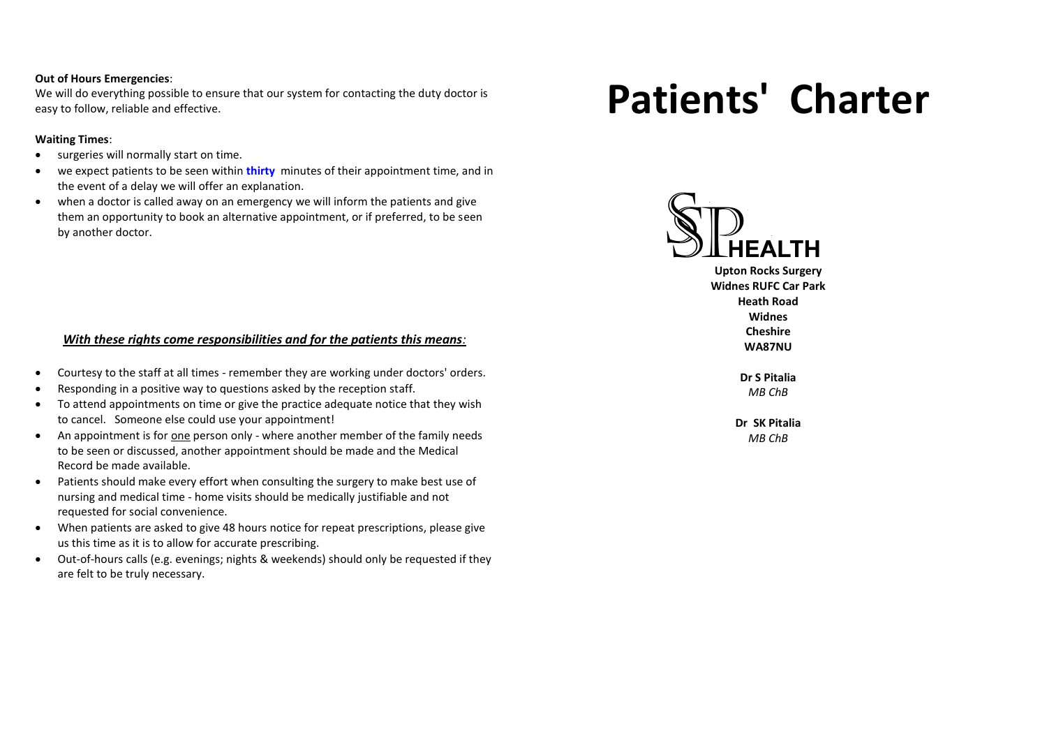#### **Out of Hours Emergencies**:

We will do everything possible to ensure that our system for contacting the duty doctor is easy to follow, reliable and effective.

## **Waiting Times**:

- surgeries will normally start on time.
- we expect patients to be seen within **thirty** minutes of their appointment time, and in the event of a delay we will offer an explanation.
- when a doctor is called away on an emergency we will inform the patients and give them an opportunity to book an alternative appointment, or if preferred, to be seen by another doctor.

## *With these rights come responsibilities and for the patients this means:*

- Courtesy to the staff at all times remember they are working under doctors' orders.
- Responding in a positive way to questions asked by the reception staff.
- To attend appointments on time or give the practice adequate notice that they wish to cancel. Someone else could use your appointment!
- An appointment is for one person only where another member of the family needs to be seen or discussed, another appointment should be made and the Medical Record be made available.
- Patients should make every effort when consulting the surgery to make best use of nursing and medical time - home visits should be medically justifiable and not requested for social convenience.
- When patients are asked to give 48 hours notice for repeat prescriptions, please give us this time as it is to allow for accurate prescribing.
- Out-of-hours calls (e.g. evenings; nights & weekends) should only be requested if they are felt to be truly necessary.

# **Patients' Charter**



**Upton Rocks Surgery Widnes RUFC Car Park Heath Road Widnes Cheshire**

**WA87NU**

**Dr S Pitalia** *MB ChB*

**Dr SK Pitalia** *MB ChB*